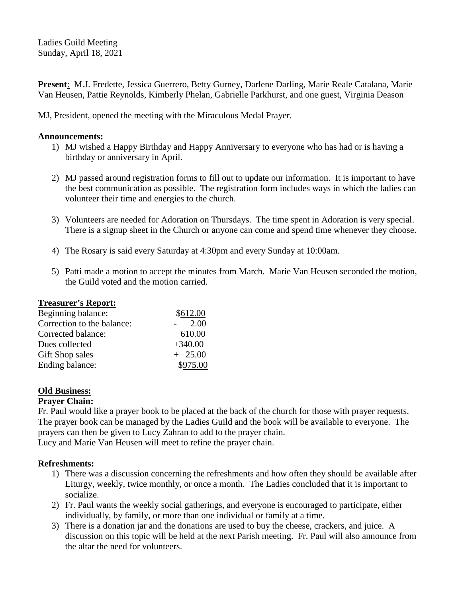Ladies Guild Meeting Sunday, April 18, 2021

**Present**: M.J. Fredette, Jessica Guerrero, Betty Gurney, Darlene Darling, Marie Reale Catalana, Marie Van Heusen, Pattie Reynolds, Kimberly Phelan, Gabrielle Parkhurst, and one guest, Virginia Deason

MJ, President, opened the meeting with the Miraculous Medal Prayer.

## **Announcements:**

- 1) MJ wished a Happy Birthday and Happy Anniversary to everyone who has had or is having a birthday or anniversary in April.
- 2) MJ passed around registration forms to fill out to update our information. It is important to have the best communication as possible. The registration form includes ways in which the ladies can volunteer their time and energies to the church.
- 3) Volunteers are needed for Adoration on Thursdays. The time spent in Adoration is very special. There is a signup sheet in the Church or anyone can come and spend time whenever they choose.
- 4) The Rosary is said every Saturday at 4:30pm and every Sunday at 10:00am.
- 5) Patti made a motion to accept the minutes from March. Marie Van Heusen seconded the motion, the Guild voted and the motion carried.

## **Treasurer's Report:**

| \$612.00  |
|-----------|
| 2.00      |
| 610.00    |
| $+340.00$ |
| $+25.00$  |
| \$975.00  |
|           |

## **Old Business:**

## **Prayer Chain:**

Fr. Paul would like a prayer book to be placed at the back of the church for those with prayer requests. The prayer book can be managed by the Ladies Guild and the book will be available to everyone. The prayers can then be given to Lucy Zahran to add to the prayer chain. Lucy and Marie Van Heusen will meet to refine the prayer chain.

**Refreshments:**

- 1) There was a discussion concerning the refreshments and how often they should be available after Liturgy, weekly, twice monthly, or once a month. The Ladies concluded that it is important to socialize.
- 2) Fr. Paul wants the weekly social gatherings, and everyone is encouraged to participate, either individually, by family, or more than one individual or family at a time.
- 3) There is a donation jar and the donations are used to buy the cheese, crackers, and juice. A discussion on this topic will be held at the next Parish meeting. Fr. Paul will also announce from the altar the need for volunteers.